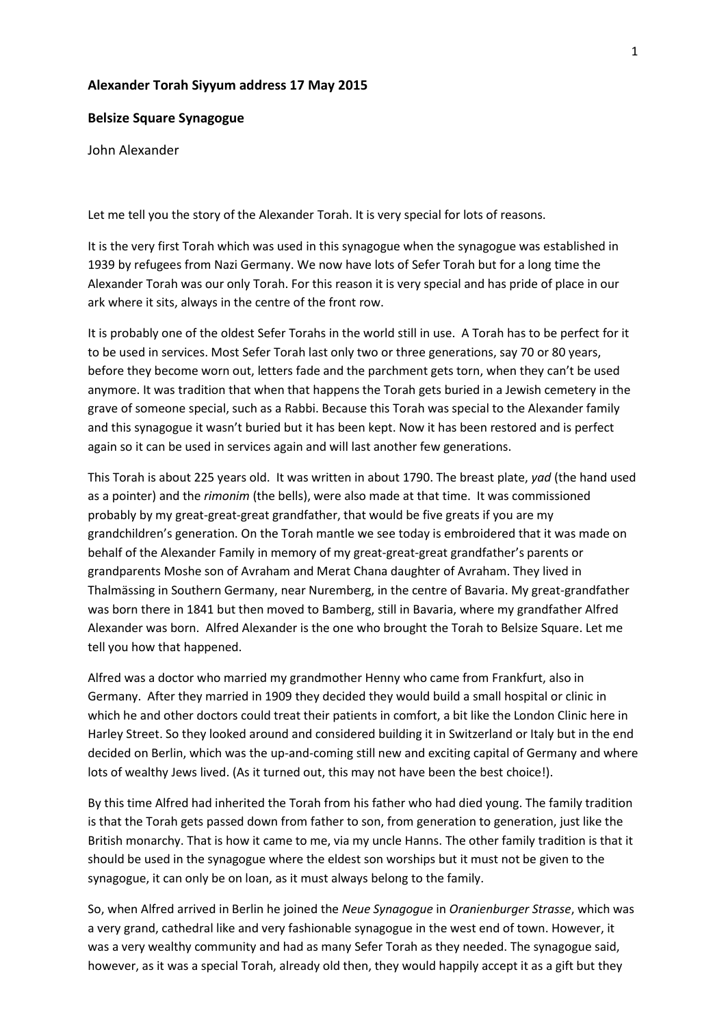## **Alexander Torah Siyyum address 17 May 2015**

## **Belsize Square Synagogue**

## John Alexander

Let me tell you the story of the Alexander Torah. It is very special for lots of reasons.

It is the very first Torah which was used in this synagogue when the synagogue was established in 1939 by refugees from Nazi Germany. We now have lots of Sefer Torah but for a long time the Alexander Torah was our only Torah. For this reason it is very special and has pride of place in our ark where it sits, always in the centre of the front row.

It is probably one of the oldest Sefer Torahs in the world still in use. A Torah has to be perfect for it to be used in services. Most Sefer Torah last only two or three generations, say 70 or 80 years, before they become worn out, letters fade and the parchment gets torn, when they can't be used anymore. It was tradition that when that happens the Torah gets buried in a Jewish cemetery in the grave of someone special, such as a Rabbi. Because this Torah was special to the Alexander family and this synagogue it wasn't buried but it has been kept. Now it has been restored and is perfect again so it can be used in services again and will last another few generations.

This Torah is about 225 years old. It was written in about 1790. The breast plate, *yad* (the hand used as a pointer) and the *rimonim* (the bells), were also made at that time. It was commissioned probably by my great-great-great grandfather, that would be five greats if you are my grandchildren's generation. On the Torah mantle we see today is embroidered that it was made on behalf of the Alexander Family in memory of my great-great-great grandfather's parents or grandparents Moshe son of Avraham and Merat Chana daughter of Avraham. They lived in Thalmӓssing in Southern Germany, near Nuremberg, in the centre of Bavaria. My great-grandfather was born there in 1841 but then moved to Bamberg, still in Bavaria, where my grandfather Alfred Alexander was born. Alfred Alexander is the one who brought the Torah to Belsize Square. Let me tell you how that happened.

Alfred was a doctor who married my grandmother Henny who came from Frankfurt, also in Germany. After they married in 1909 they decided they would build a small hospital or clinic in which he and other doctors could treat their patients in comfort, a bit like the London Clinic here in Harley Street. So they looked around and considered building it in Switzerland or Italy but in the end decided on Berlin, which was the up-and-coming still new and exciting capital of Germany and where lots of wealthy Jews lived. (As it turned out, this may not have been the best choice!).

By this time Alfred had inherited the Torah from his father who had died young. The family tradition is that the Torah gets passed down from father to son, from generation to generation, just like the British monarchy. That is how it came to me, via my uncle Hanns. The other family tradition is that it should be used in the synagogue where the eldest son worships but it must not be given to the synagogue, it can only be on loan, as it must always belong to the family.

So, when Alfred arrived in Berlin he joined the *Neue Synagogue* in *Oranienburger Strasse*, which was a very grand, cathedral like and very fashionable synagogue in the west end of town. However, it was a very wealthy community and had as many Sefer Torah as they needed. The synagogue said, however, as it was a special Torah, already old then, they would happily accept it as a gift but they